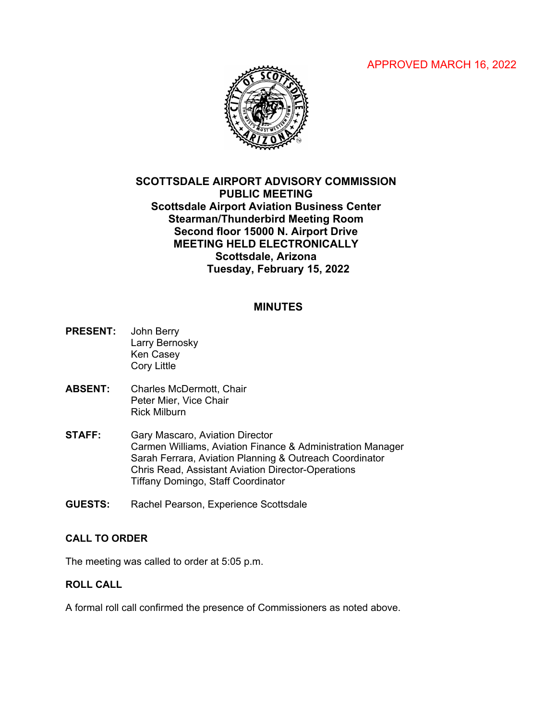# APPROVED MARCH 16, 2022



# **SCOTTSDALE AIRPORT ADVISORY COMMISSION PUBLIC MEETING Scottsdale Airport Aviation Business Center Stearman/Thunderbird Meeting Room Second floor 15000 N. Airport Drive MEETING HELD ELECTRONICALLY Scottsdale, Arizona Tuesday, February 15, 2022**

#### **MINUTES**

- **PRESENT:** John Berry Larry Bernosky Ken Casey Cory Little
- **ABSENT:** Charles McDermott, Chair Peter Mier, Vice Chair Rick Milburn
- **STAFF:** Gary Mascaro, Aviation Director Carmen Williams, Aviation Finance & Administration Manager Sarah Ferrara, Aviation Planning & Outreach Coordinator Chris Read, Assistant Aviation Director-Operations Tiffany Domingo, Staff Coordinator
- **GUESTS:** Rachel Pearson, Experience Scottsdale

### **CALL TO ORDER**

The meeting was called to order at 5:05 p.m.

### **ROLL CALL**

A formal roll call confirmed the presence of Commissioners as noted above.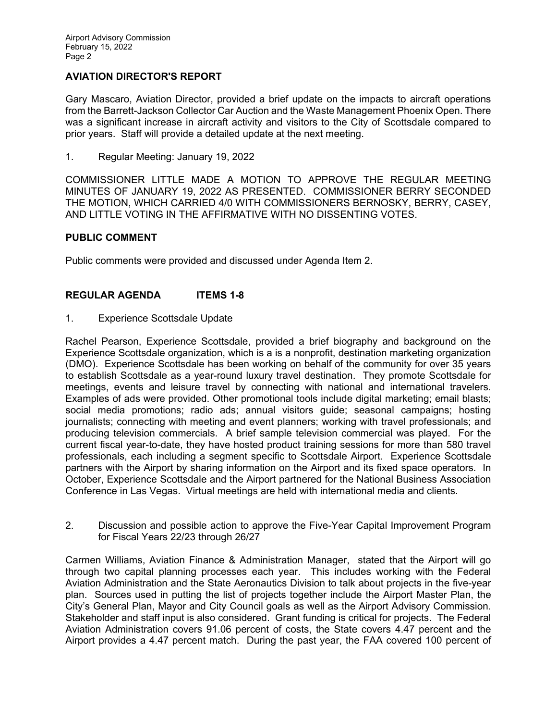## **AVIATION DIRECTOR'S REPORT**

Gary Mascaro, Aviation Director, provided a brief update on the impacts to aircraft operations from the Barrett-Jackson Collector Car Auction and the Waste Management Phoenix Open. There was a significant increase in aircraft activity and visitors to the City of Scottsdale compared to prior years. Staff will provide a detailed update at the next meeting.

1. Regular Meeting: January 19, 2022

COMMISSIONER LITTLE MADE A MOTION TO APPROVE THE REGULAR MEETING MINUTES OF JANUARY 19, 2022 AS PRESENTED. COMMISSIONER BERRY SECONDED THE MOTION, WHICH CARRIED 4/0 WITH COMMISSIONERS BERNOSKY, BERRY, CASEY, AND LITTLE VOTING IN THE AFFIRMATIVE WITH NO DISSENTING VOTES.

### **PUBLIC COMMENT**

Public comments were provided and discussed under Agenda Item 2.

### **REGULAR AGENDA ITEMS 1-8**

1. Experience Scottsdale Update

Rachel Pearson, Experience Scottsdale, provided a brief biography and background on the Experience Scottsdale organization, which is a is a nonprofit, destination marketing organization (DMO). Experience Scottsdale has been working on behalf of the community for over 35 years to establish Scottsdale as a year-round luxury travel destination. They promote Scottsdale for meetings, events and leisure travel by connecting with national and international travelers. Examples of ads were provided. Other promotional tools include digital marketing; email blasts; social media promotions; radio ads; annual visitors guide; seasonal campaigns; hosting journalists; connecting with meeting and event planners; working with travel professionals; and producing television commercials. A brief sample television commercial was played. For the current fiscal year-to-date, they have hosted product training sessions for more than 580 travel professionals, each including a segment specific to Scottsdale Airport. Experience Scottsdale partners with the Airport by sharing information on the Airport and its fixed space operators. In October, Experience Scottsdale and the Airport partnered for the National Business Association Conference in Las Vegas. Virtual meetings are held with international media and clients.

2. Discussion and possible action to approve the Five-Year Capital Improvement Program for Fiscal Years 22/23 through 26/27

Carmen Williams, Aviation Finance & Administration Manager, stated that the Airport will go through two capital planning processes each year. This includes working with the Federal Aviation Administration and the State Aeronautics Division to talk about projects in the five-year plan. Sources used in putting the list of projects together include the Airport Master Plan, the City's General Plan, Mayor and City Council goals as well as the Airport Advisory Commission. Stakeholder and staff input is also considered. Grant funding is critical for projects. The Federal Aviation Administration covers 91.06 percent of costs, the State covers 4.47 percent and the Airport provides a 4.47 percent match. During the past year, the FAA covered 100 percent of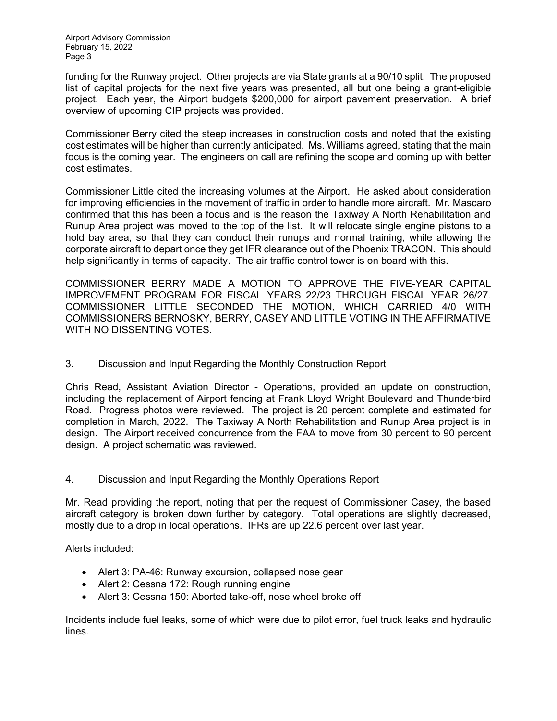funding for the Runway project. Other projects are via State grants at a 90/10 split. The proposed list of capital projects for the next five years was presented, all but one being a grant-eligible project. Each year, the Airport budgets \$200,000 for airport pavement preservation. A brief overview of upcoming CIP projects was provided.

Commissioner Berry cited the steep increases in construction costs and noted that the existing cost estimates will be higher than currently anticipated. Ms. Williams agreed, stating that the main focus is the coming year. The engineers on call are refining the scope and coming up with better cost estimates.

Commissioner Little cited the increasing volumes at the Airport. He asked about consideration for improving efficiencies in the movement of traffic in order to handle more aircraft. Mr. Mascaro confirmed that this has been a focus and is the reason the Taxiway A North Rehabilitation and Runup Area project was moved to the top of the list. It will relocate single engine pistons to a hold bay area, so that they can conduct their runups and normal training, while allowing the corporate aircraft to depart once they get IFR clearance out of the Phoenix TRACON. This should help significantly in terms of capacity. The air traffic control tower is on board with this.

COMMISSIONER BERRY MADE A MOTION TO APPROVE THE FIVE-YEAR CAPITAL IMPROVEMENT PROGRAM FOR FISCAL YEARS 22/23 THROUGH FISCAL YEAR 26/27. COMMISSIONER LITTLE SECONDED THE MOTION, WHICH CARRIED 4/0 WITH COMMISSIONERS BERNOSKY, BERRY, CASEY AND LITTLE VOTING IN THE AFFIRMATIVE WITH NO DISSENTING VOTES.

3. Discussion and Input Regarding the Monthly Construction Report

Chris Read, Assistant Aviation Director - Operations, provided an update on construction, including the replacement of Airport fencing at Frank Lloyd Wright Boulevard and Thunderbird Road. Progress photos were reviewed. The project is 20 percent complete and estimated for completion in March, 2022. The Taxiway A North Rehabilitation and Runup Area project is in design. The Airport received concurrence from the FAA to move from 30 percent to 90 percent design. A project schematic was reviewed.

4. Discussion and Input Regarding the Monthly Operations Report

Mr. Read providing the report, noting that per the request of Commissioner Casey, the based aircraft category is broken down further by category. Total operations are slightly decreased, mostly due to a drop in local operations. IFRs are up 22.6 percent over last year.

Alerts included:

- Alert 3: PA-46: Runway excursion, collapsed nose gear
- Alert 2: Cessna 172: Rough running engine
- Alert 3: Cessna 150: Aborted take-off, nose wheel broke off

Incidents include fuel leaks, some of which were due to pilot error, fuel truck leaks and hydraulic lines.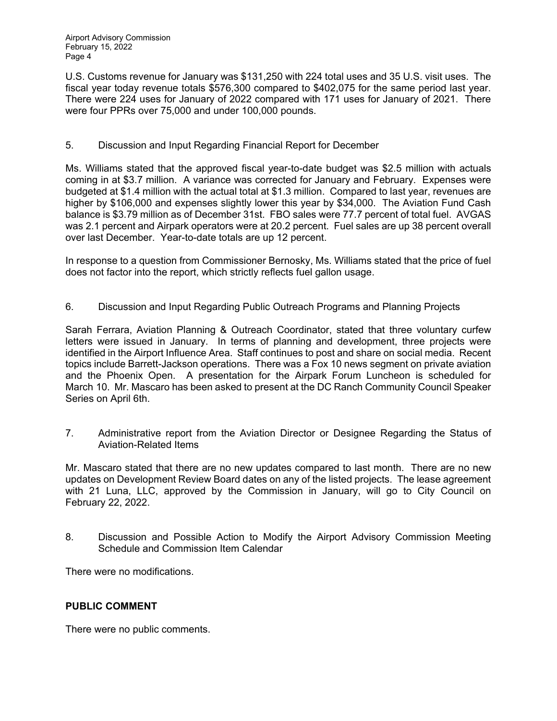Airport Advisory Commission February 15, 2022 Page 4

U.S. Customs revenue for January was \$131,250 with 224 total uses and 35 U.S. visit uses. The fiscal year today revenue totals \$576,300 compared to \$402,075 for the same period last year. There were 224 uses for January of 2022 compared with 171 uses for January of 2021. There were four PPRs over 75,000 and under 100,000 pounds.

### 5. Discussion and Input Regarding Financial Report for December

Ms. Williams stated that the approved fiscal year-to-date budget was \$2.5 million with actuals coming in at \$3.7 million. A variance was corrected for January and February. Expenses were budgeted at \$1.4 million with the actual total at \$1.3 million. Compared to last year, revenues are higher by \$106,000 and expenses slightly lower this year by \$34,000. The Aviation Fund Cash balance is \$3.79 million as of December 31st. FBO sales were 77.7 percent of total fuel. AVGAS was 2.1 percent and Airpark operators were at 20.2 percent. Fuel sales are up 38 percent overall over last December. Year-to-date totals are up 12 percent.

In response to a question from Commissioner Bernosky, Ms. Williams stated that the price of fuel does not factor into the report, which strictly reflects fuel gallon usage.

6. Discussion and Input Regarding Public Outreach Programs and Planning Projects

Sarah Ferrara, Aviation Planning & Outreach Coordinator, stated that three voluntary curfew letters were issued in January. In terms of planning and development, three projects were identified in the Airport Influence Area. Staff continues to post and share on social media. Recent topics include Barrett-Jackson operations. There was a Fox 10 news segment on private aviation and the Phoenix Open. A presentation for the Airpark Forum Luncheon is scheduled for March 10. Mr. Mascaro has been asked to present at the DC Ranch Community Council Speaker Series on April 6th.

7. Administrative report from the Aviation Director or Designee Regarding the Status of Aviation-Related Items

Mr. Mascaro stated that there are no new updates compared to last month. There are no new updates on Development Review Board dates on any of the listed projects. The lease agreement with 21 Luna, LLC, approved by the Commission in January, will go to City Council on February 22, 2022.

8. Discussion and Possible Action to Modify the Airport Advisory Commission Meeting Schedule and Commission Item Calendar

There were no modifications.

### **PUBLIC COMMENT**

There were no public comments.